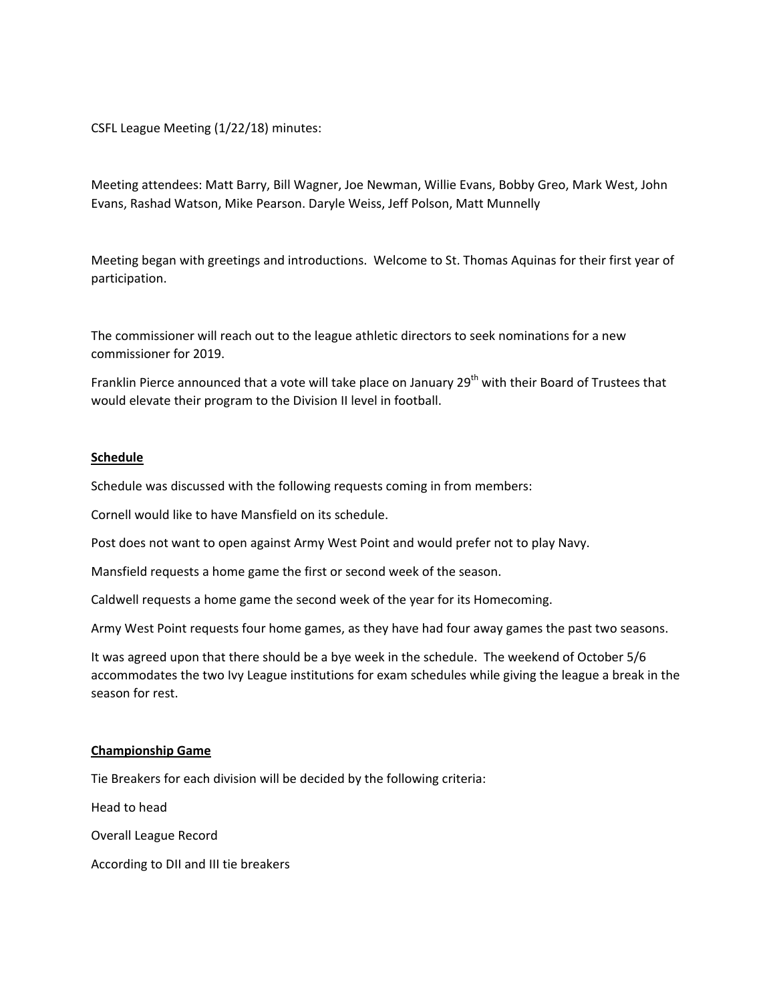CSFL League Meeting (1/22/18) minutes:

Meeting attendees: Matt Barry, Bill Wagner, Joe Newman, Willie Evans, Bobby Greo, Mark West, John Evans, Rashad Watson, Mike Pearson. Daryle Weiss, Jeff Polson, Matt Munnelly

Meeting began with greetings and introductions. Welcome to St. Thomas Aquinas for their first year of participation. 

The commissioner will reach out to the league athletic directors to seek nominations for a new commissioner for 2019.

Franklin Pierce announced that a vote will take place on January 29<sup>th</sup> with their Board of Trustees that would elevate their program to the Division II level in football.

#### **Schedule**

Schedule was discussed with the following requests coming in from members:

Cornell would like to have Mansfield on its schedule.

Post does not want to open against Army West Point and would prefer not to play Navy.

Mansfield requests a home game the first or second week of the season.

Caldwell requests a home game the second week of the year for its Homecoming.

Army West Point requests four home games, as they have had four away games the past two seasons.

It was agreed upon that there should be a bye week in the schedule. The weekend of October 5/6 accommodates the two Ivy League institutions for exam schedules while giving the league a break in the season for rest.

#### **Championship Game**

Tie Breakers for each division will be decided by the following criteria:

Head to head

Overall League Record

According to DII and III tie breakers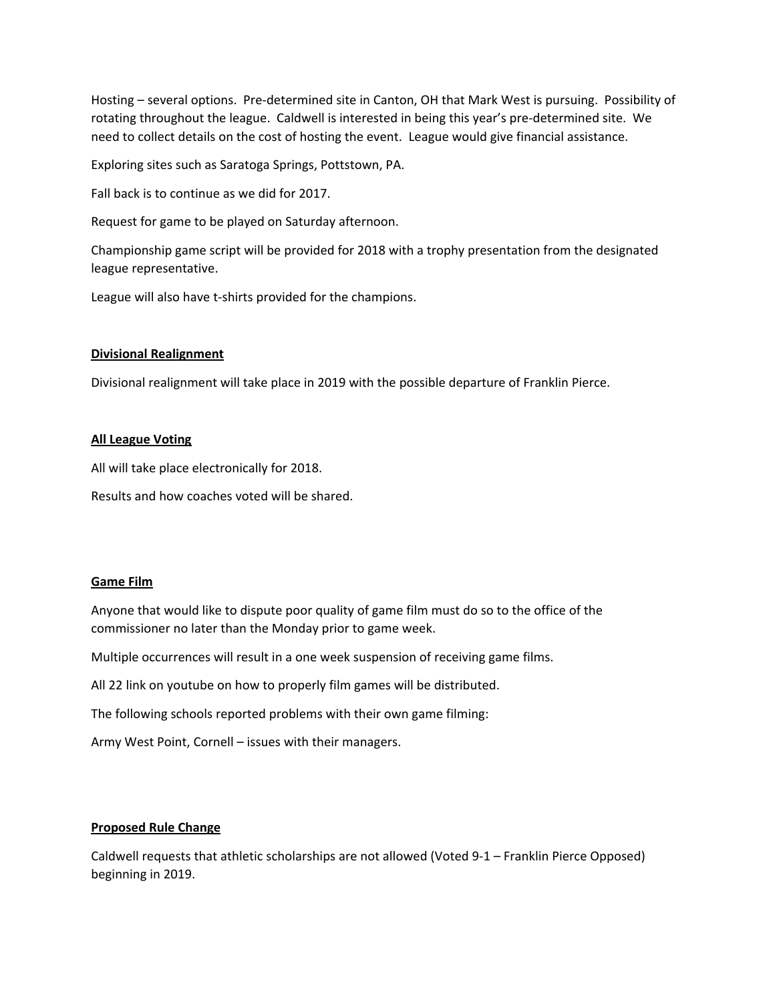Hosting – several options. Pre-determined site in Canton, OH that Mark West is pursuing. Possibility of rotating throughout the league. Caldwell is interested in being this year's pre-determined site. We need to collect details on the cost of hosting the event. League would give financial assistance.

Exploring sites such as Saratoga Springs, Pottstown, PA.

Fall back is to continue as we did for 2017.

Request for game to be played on Saturday afternoon.

Championship game script will be provided for 2018 with a trophy presentation from the designated league representative.

League will also have t-shirts provided for the champions.

## **Divisional Realignment**

Divisional realignment will take place in 2019 with the possible departure of Franklin Pierce.

#### **All League Voting**

All will take place electronically for 2018.

Results and how coaches voted will be shared.

#### **Game Film**

Anyone that would like to dispute poor quality of game film must do so to the office of the commissioner no later than the Monday prior to game week.

Multiple occurrences will result in a one week suspension of receiving game films.

All 22 link on youtube on how to properly film games will be distributed.

The following schools reported problems with their own game filming:

Army West Point, Cornell – issues with their managers.

### **Proposed Rule Change**

Caldwell requests that athletic scholarships are not allowed (Voted 9-1 – Franklin Pierce Opposed) beginning in 2019.